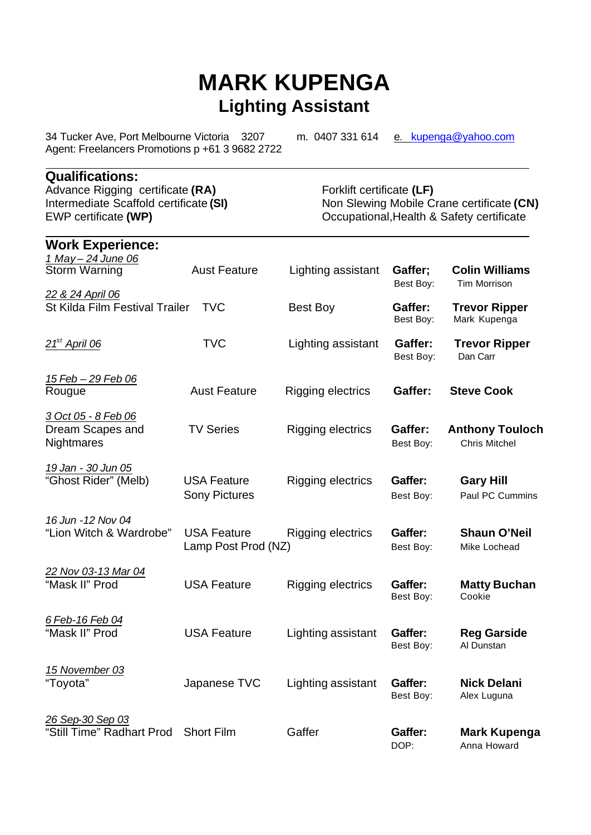# **MARK KUPENGA Lighting Assistant**

34 Tucker Ave, Port Melbourne Victoria 3207m. 0407 331 614 e. kupenga@yahoo.com Agent: Freelancers Promotions p +61 3 9682 2722

## **Qualifications:**

Advance Rigging certificate (RA) Forklift certificate (LF)<br>Intermediate Scaffold certificate (SI) Non Slewing Mobile C

Intermediate Scaffold certificate (SI) Non Slewing Mobile Crane certificate (CN)<br>EWP certificate (WP) Cocupational, Health & Safety certificate Occupational, Health & Safety certificate

| <b>Work Experience:</b>                               |                                            |                          |                      |                                                |
|-------------------------------------------------------|--------------------------------------------|--------------------------|----------------------|------------------------------------------------|
| 1 May - 24 June 06<br><b>Storm Warning</b>            | <b>Aust Feature</b>                        | Lighting assistant       | Gaffer;<br>Best Boy: | <b>Colin Williams</b><br>Tim Morrison          |
| 22 & 24 April 06<br>St Kilda Film Festival Trailer    | <b>TVC</b>                                 | Best Boy                 | Gaffer:<br>Best Boy: | <b>Trevor Ripper</b><br>Mark Kupenga           |
| $21st$ April 06                                       | <b>TVC</b>                                 | Lighting assistant       | Gaffer:<br>Best Boy: | <b>Trevor Ripper</b><br>Dan Carr               |
| <u> 15 Feb – 29 Feb 06</u><br>Rougue                  | <b>Aust Feature</b>                        | Rigging electrics        | Gaffer:              | <b>Steve Cook</b>                              |
| 3 Oct 05 - 8 Feb 06<br>Dream Scapes and<br>Nightmares | <b>TV Series</b>                           | Rigging electrics        | Gaffer:<br>Best Boy: | <b>Anthony Touloch</b><br><b>Chris Mitchel</b> |
| 19 Jan - 30 Jun 05<br>"Ghost Rider" (Melb)            | <b>USA Feature</b><br><b>Sony Pictures</b> | <b>Rigging electrics</b> | Gaffer:<br>Best Boy: | <b>Gary Hill</b><br>Paul PC Cummins            |
| 16 Jun - 12 Nov 04<br>"Lion Witch & Wardrobe"         | <b>USA Feature</b><br>Lamp Post Prod (NZ)  | <b>Rigging electrics</b> | Gaffer:<br>Best Boy: | <b>Shaun O'Neil</b><br>Mike Lochead            |
| 22 Nov 03-13 Mar 04<br>"Mask II" Prod                 | <b>USA Feature</b>                         | Rigging electrics        | Gaffer:<br>Best Boy: | <b>Matty Buchan</b><br>Cookie                  |
| 6 Feb-16 Feb 04<br>"Mask II" Prod                     | <b>USA Feature</b>                         | Lighting assistant       | Gaffer:<br>Best Boy: | <b>Reg Garside</b><br>Al Dunstan               |
| 15 November 03<br>"Toyota"                            | Japanese TVC                               | Lighting assistant       | Gaffer:<br>Best Boy: | <b>Nick Delani</b><br>Alex Luguna              |
| 26 Sep-30 Sep 03<br>"Still Time" Radhart Prod         | <b>Short Film</b>                          | Gaffer                   | Gaffer:<br>DOP:      | <b>Mark Kupenga</b><br>Anna Howard             |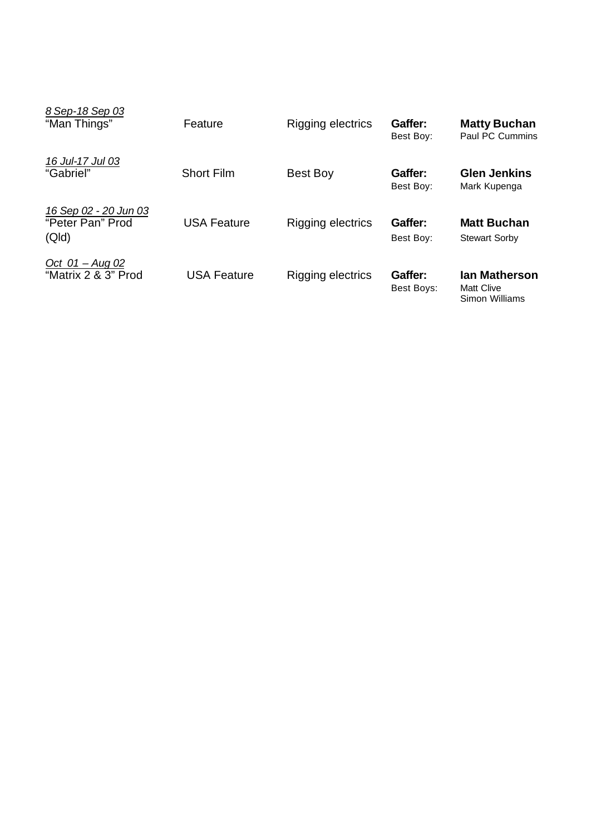| 8 Sep-18 Sep 03<br>"Man Things"                    | Feature            | Rigging electrics | Gaffer:<br>Best Boy:  | <b>Matty Buchan</b><br>Paul PC Cummins               |
|----------------------------------------------------|--------------------|-------------------|-----------------------|------------------------------------------------------|
| 16 Jul-17 Jul 03<br>"Gabriel"                      | <b>Short Film</b>  | <b>Best Boy</b>   | Gaffer:<br>Best Boy:  | <b>Glen Jenkins</b><br>Mark Kupenga                  |
| 16 Sep 02 - 20 Jun 03<br>"Peter Pan" Prod<br>(QId) | <b>USA Feature</b> | Rigging electrics | Gaffer:<br>Best Boy:  | <b>Matt Buchan</b><br><b>Stewart Sorby</b>           |
| Oct $01 - Aug 02$<br>"Matrix 2 & 3" Prod           | <b>USA Feature</b> | Rigging electrics | Gaffer:<br>Best Boys: | lan Matherson<br><b>Matt Clive</b><br>Simon Williams |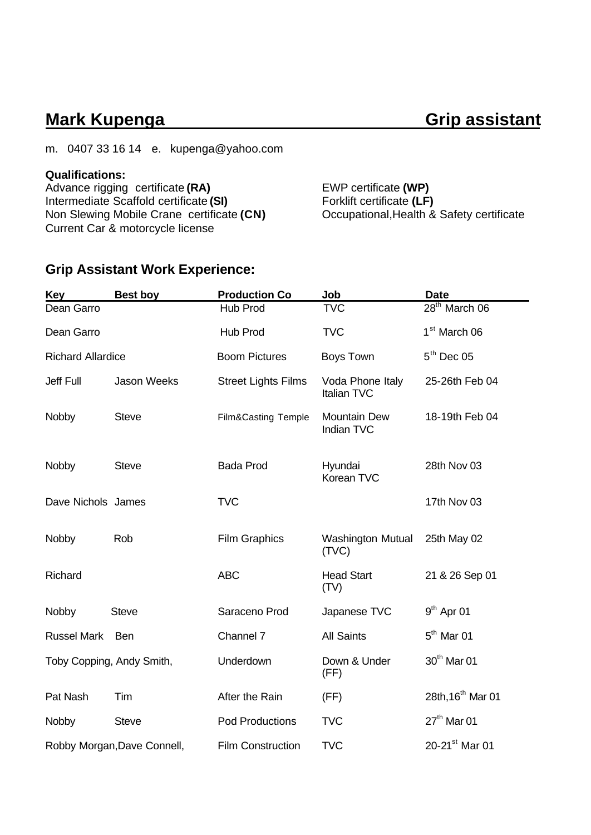## **Mark Kupenga Grip assistant**

m. 0407 33 16 14 e. kupenga@yahoo.com

### **Qualifications:**

Advance rigging certificate **(RA)** EWP certificate **(WP)** Intermediate Scaffold certificate (SI) Forklift certificate (LF)<br>Non Slewing Mobile Crane certificate (CN) Cocupational, Health & Safety certificate Non Slewing Mobile Crane certificate (CN) Current Car & motorcycle license

## **Grip Assistant Work Experience:**

| Key                       | <b>Best boy</b>             | <b>Production Co</b>       | Job                               | <b>Date</b>                   |
|---------------------------|-----------------------------|----------------------------|-----------------------------------|-------------------------------|
| Dean Garro                |                             | Hub Prod                   | <b>TVC</b>                        | 28 <sup>th</sup> March 06     |
| Dean Garro                |                             | Hub Prod                   | <b>TVC</b>                        | 1 <sup>st</sup> March 06      |
| <b>Richard Allardice</b>  |                             | <b>Boom Pictures</b>       | Boys Town                         | $5th$ Dec 05                  |
| <b>Jeff Full</b>          | <b>Jason Weeks</b>          | <b>Street Lights Films</b> | Voda Phone Italy<br>Italian TVC   | 25-26th Feb 04                |
| Nobby                     | <b>Steve</b>                | Film&Casting Temple        | Mountain Dew<br>Indian TVC        | 18-19th Feb 04                |
| Nobby                     | <b>Steve</b>                | <b>Bada Prod</b>           | Hyundai<br>Korean TVC             | 28th Nov 03                   |
| Dave Nichols James        |                             | <b>TVC</b>                 |                                   | 17th Nov 03                   |
| Nobby                     | Rob                         | <b>Film Graphics</b>       | <b>Washington Mutual</b><br>(TVC) | 25th May 02                   |
| Richard                   |                             | <b>ABC</b>                 | <b>Head Start</b><br>(TV)         | 21 & 26 Sep 01                |
| Nobby                     | <b>Steve</b>                | Saraceno Prod              | Japanese TVC                      | $9th$ Apr 01                  |
| <b>Russel Mark</b>        | <b>Ben</b>                  | Channel 7                  | <b>All Saints</b>                 | $5th$ Mar 01                  |
| Toby Copping, Andy Smith, |                             | Underdown                  | Down & Under<br>(FF)              | 30 <sup>th</sup> Mar 01       |
| Pat Nash                  | Tim                         | After the Rain             | (FF)                              | 28th, 16 <sup>th</sup> Mar 01 |
| Nobby                     | <b>Steve</b>                | <b>Pod Productions</b>     | <b>TVC</b>                        | $27th$ Mar 01                 |
|                           | Robby Morgan, Dave Connell, | <b>Film Construction</b>   | <b>TVC</b>                        | 20-21 <sup>st</sup> Mar 01    |